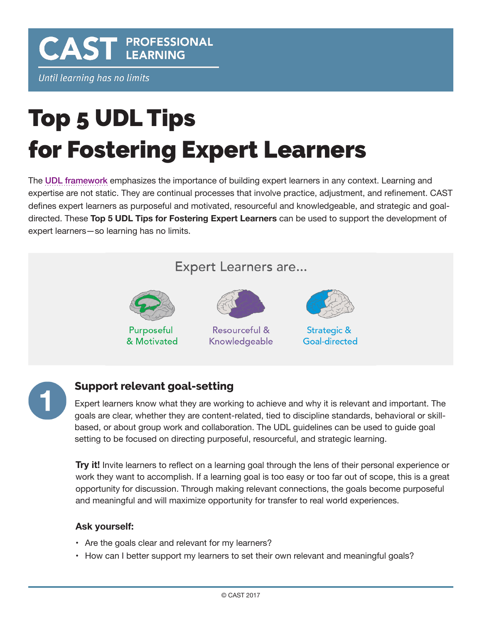**CAST PROFESSIONAL** 

Until learning has no limits

# Top 5 UDL Tips for Fostering Expert Learners

The [UDL framework](http://www.cast.org/our-work/about-udl.html) emphasizes the importance of building expert learners in any context. Learning and expertise are not static. They are continual processes that involve practice, adjustment, and refinement. CAST defines expert learners as purposeful and motivated, resourceful and knowledgeable, and strategic and goaldirected. These **Top 5 UDL Tips for Fostering Expert Learners** can be used to support the development of expert learners—so learning has no limits.



## **Support relevant goal-setting**

Expert learners know what they are working to achieve and why it is relevant and important. The goals are clear, whether they are content-related, tied to discipline standards, behavioral or skillbased, or about group work and collaboration. The UDL guidelines can be used to guide goal setting to be focused on directing purposeful, resourceful, and strategic learning.

**Try it!** Invite learners to reflect on a learning goal through the lens of their personal experience or work they want to accomplish. If a learning goal is too easy or too far out of scope, this is a great opportunity for discussion. Through making relevant connections, the goals become purposeful and meaningful and will maximize opportunity for transfer to real world experiences.

#### **Ask yourself:**

- Are the goals clear and relevant for my learners?
- How can I better support my learners to set their own relevant and meaningful goals?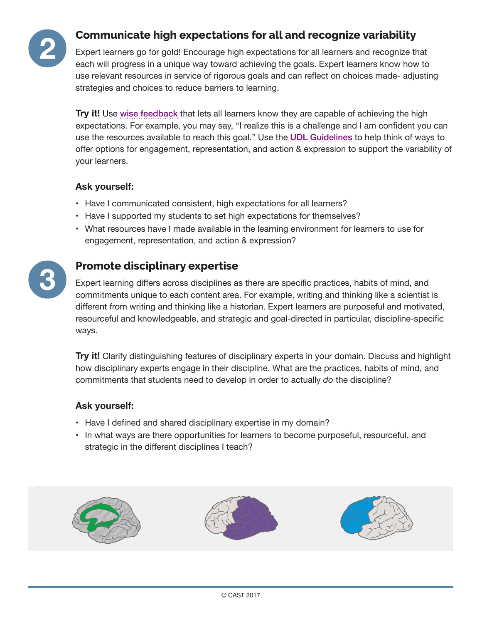

## **Communicate high expectations for all and recognize variability**

Expert learners go for gold! Encourage high expectations for all learners and recognize that each will progress in a unique way toward achieving the goals. Expert learners know how to use relevant resources in service of rigorous goals and can reflect on choices made- adjusting strategies and choices to reduce barriers to learning.

**Try it!** Use wise [feedback](http://www.interventioncentral.org/student_motivation_wise_feedback) that lets all learners know they are capable of achieving the high expectations. For example, you may say, "I realize this is a challenge and I am confident you can use the resources available to reach this goal." Use the [UDL Guidelines](http://www.udlcenter.org/aboutudl/udlguidelines_theorypractice) to help think of ways to offer options for engagement, representation, and action & expression to support the variability of your learners.

#### **Ask yourself:**

- Have I communicated consistent, high expectations for all learners?
- Have I supported my students to set high expectations for themselves?
- What resources have I made available in the learning environment for learners to use for engagement, representation, and action & expression?



### **Promote disciplinary expertise**

Expert learning differs across disciplines as there are specific practices, habits of mind, and commitments unique to each content area. For example, writing and thinking like a scientist is different from writing and thinking like a historian. Expert learners are purposeful and motivated, resourceful and knowledgeable, and strategic and goal-directed in particular, discipline-specific ways.

**Try it!** Clarify distinguishing features of disciplinary experts in your domain. Discuss and highlight how disciplinary experts engage in their discipline. What are the practices, habits of mind, and commitments that students need to develop in order to actually *do* the discipline?

#### **Ask yourself:**

- Have I defined and shared disciplinary expertise in my domain?
- In what ways are there opportunities for learners to become purposeful, resourceful, and strategic in the different disciplines I teach?